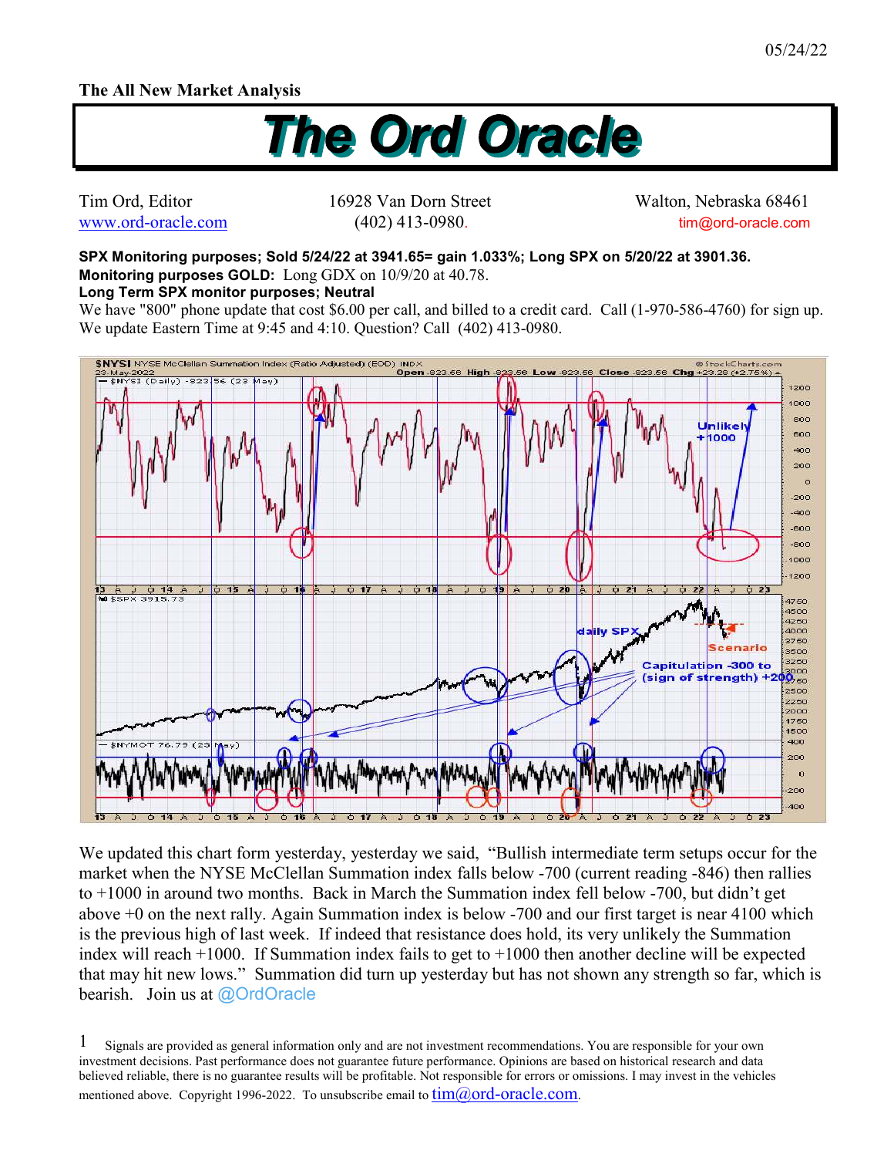## **The All New Market Analysis**



Tim Ord, Editor 16928 Van Dorn Street Walton, Nebraska 68461 www.ord-oracle.com (402) 413-0980. tim@ord-oracle.com

**SPX Monitoring purposes; Sold 5/24/22 at 3941.65= gain 1.033%; Long SPX on 5/20/22 at 3901.36. Monitoring purposes GOLD:** Long GDX on 10/9/20 at 40.78.

## **Long Term SPX monitor purposes; Neutral**

We have "800" phone update that cost \$6.00 per call, and billed to a credit card. Call (1-970-586-4760) for sign up. We update Eastern Time at 9:45 and 4:10. Question? Call (402) 413-0980.



We updated this chart form yesterday, yesterday we said, "Bullish intermediate term setups occur for the market when the NYSE McClellan Summation index falls below -700 (current reading -846) then rallies to +1000 in around two months. Back in March the Summation index fell below -700, but didn't get above +0 on the next rally. Again Summation index is below -700 and our first target is near 4100 which is the previous high of last week. If indeed that resistance does hold, its very unlikely the Summation index will reach +1000. If Summation index fails to get to +1000 then another decline will be expected that may hit new lows." Summation did turn up yesterday but has not shown any strength so far, which is bearish. Join us at @OrdOracle

Signals are provided as general information only and are not investment recommendations. You are responsible for your own investment decisions. Past performance does not guarantee future performance. Opinions are based on historical research and data believed reliable, there is no guarantee results will be profitable. Not responsible for errors or omissions. I may invest in the vehicles mentioned above. Copyright 1996-2022. To unsubscribe email to  $\lim(\partial_{\theta} \text{ord-oracle.com})$ . 1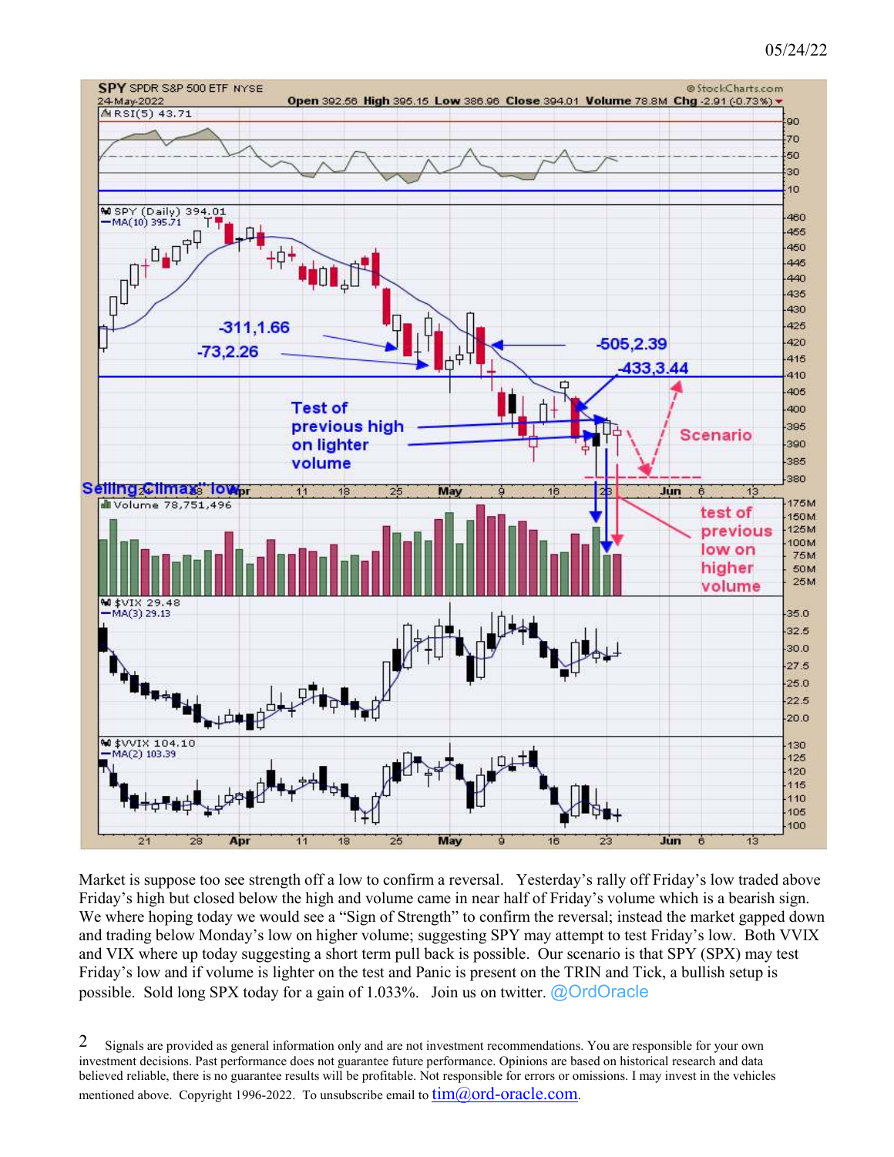## 05/24/22



Market is suppose too see strength off a low to confirm a reversal. Yesterday's rally off Friday's low traded above Friday's high but closed below the high and volume came in near half of Friday's volume which is a bearish sign. We where hoping today we would see a "Sign of Strength" to confirm the reversal; instead the market gapped down and trading below Monday's low on higher volume; suggesting SPY may attempt to test Friday's low. Both VVIX and VIX where up today suggesting a short term pull back is possible. Our scenario is that SPY (SPX) may test Friday's low and if volume is lighter on the test and Panic is present on the TRIN and Tick, a bullish setup is possible. Sold long SPX today for a gain of 1.033%. Join us on twitter. @OrdOracle

Signals are provided as general information only and are not investment recommendations. You are responsible for your own investment decisions. Past performance does not guarantee future performance. Opinions are based on historical research and data believed reliable, there is no guarantee results will be profitable. Not responsible for errors or omissions. I may invest in the vehicles mentioned above. Copyright 1996-2022. To unsubscribe email to  $tim@ord-oracle.com$ . 2